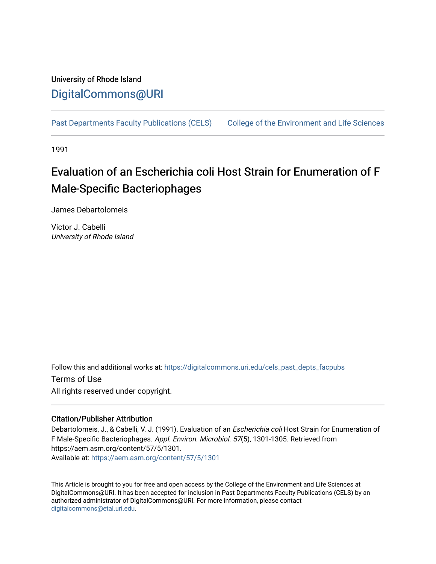## University of Rhode Island [DigitalCommons@URI](https://digitalcommons.uri.edu/)

[Past Departments Faculty Publications \(CELS\)](https://digitalcommons.uri.edu/cels_past_depts_facpubs) College of the Environment and Life Sciences

1991

# Evaluation of an Escherichia coli Host Strain for Enumeration of F Male-Specific Bacteriophages

James Debartolomeis

Victor J. Cabelli University of Rhode Island

Follow this and additional works at: [https://digitalcommons.uri.edu/cels\\_past\\_depts\\_facpubs](https://digitalcommons.uri.edu/cels_past_depts_facpubs?utm_source=digitalcommons.uri.edu%2Fcels_past_depts_facpubs%2F34&utm_medium=PDF&utm_campaign=PDFCoverPages) 

Terms of Use All rights reserved under copyright.

### Citation/Publisher Attribution

Debartolomeis, J., & Cabelli, V. J. (1991). Evaluation of an Escherichia coli Host Strain for Enumeration of F Male-Specific Bacteriophages. Appl. Environ. Microbiol. 57(5), 1301-1305. Retrieved from https://aem.asm.org/content/57/5/1301. Available at:<https://aem.asm.org/content/57/5/1301>

This Article is brought to you for free and open access by the College of the Environment and Life Sciences at DigitalCommons@URI. It has been accepted for inclusion in Past Departments Faculty Publications (CELS) by an authorized administrator of DigitalCommons@URI. For more information, please contact [digitalcommons@etal.uri.edu](mailto:digitalcommons@etal.uri.edu).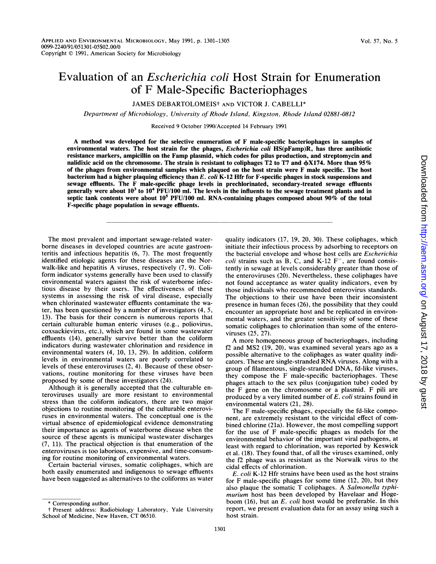## Evaluation of an Escherichia coli Host Strain for Enumeration of F Male-Specific Bacteriophages

JAMES DEBARTOLOMEISt AND VICTOR J. CABELLI\*

Department of Microbiology, University of Rhode Island, Kingston, Rhode Island 02881-0812

Received 9 October 1990/Accepted 14 February 1991

A method was developed for the selective enumeration of F male-specific bacteriophages in samples of environmental waters. The host strain for the phages, *Escherichia coli* HS(pFamp)R, has three antibiotic resistance markers, ampicillin on the Famp plasmid, which codes for pilus production, and streptomycin and nalidixic acid on the chromosome. The strain is resistant to coliphages T2 to T7 and  $\phi$ X174. More than 95% of the phages from environmental samples which plaqued on the host strain were F male specific. The host bacterium had a higher plaquing efficiency than  $E.$  coli K-12 Hfr for F-specific phages in stock suspensions and sewage effluents. The F male-specific phage levels in prechlorinated, secondary-treated sewage effluents generally were about  $10^3$  to  $10^4$  PFU/100 ml. The levels in the influents to the sewage treatment plants and in septic tank contents were about 10<sup>5</sup> PFU/100 ml. RNA-containing phages composed about 90% of the total F-specific phage population in sewage effluents.

The most prevalent and important sewage-related waterborne diseases in developed countries are acute gastroenteritis and infectious hepatitis (6, 7). The most frequently identified etiologic agents for these diseases are the Norwalk-like and hepatitis A viruses, respectively (7, 9). Coliform indicator systems generally have been used to classify environmental waters against the risk of waterborne infectious disease by their users. The effectiveness of these systems in assessing the risk of viral disease, especially when chlorinated wastewater effluents contaminate the water, has been questioned by a number of investigators (4, 5, 13). The basis for their concern is numerous reports that certain culturable human enteric viruses (e.g., poliovirus, coxsackievirus, etc.), which are found in some wastewater effluents (14), generally survive better than the coliform indicators during wastewater chlorination and residence in environmental waters (4, 10, 13, 29). In addition, coliform levels in environmental waters are poorly correlated to levels of these enteroviruses (2, 4). Because of these observations, routine monitoring for these viruses have been proposed by some of these investigators (24).

Although it is generally accepted that the culturable enteroviruses usually are more resistant to environmental stress than the coliform indicators, there are two major objections to routine monitoring of the culturable enteroviruses in environmental waters. The conceptual one is the virtual absence of epidemiological evidence demonstrating their importance as agents of waterborne disease when the source of these agents is municipal wastewater discharges (7, 11). The practical objection is that enumeration of the enteroviruses is too laborious, expensive, and time-consuming for routine monitoring of environmental waters.

Certain bacterial viruses, somatic coliphages, which are both easily enumerated and indigenous to sewage effluents have been suggested as alternatives to the coliforms as water quality indicators (17, 19, 20, 30). These coliphages, which initiate their infectious process by adsorbing to receptors on the bacterial envelope and whose host cells are Escherichia coli strains such as B, C, and K-12  $F^-$ , are found consistently in sewage at levels considerably greater than those of the enteroviruses (20). Nevertheless, these coliphages have not found acceptance as water quality indicators, even by those individuals who recommended enterovirus standards. The objections to their use have been their inconsistent presence in human feces (26), the possibility that they could encounter an appropriate host and be replicated in environmental waters, and the greater sensitivity of some of these somatic coliphages to chlorination than some of the enteroviruses (25, 27).

A more homogeneous group of bacteriophages, including f2 and MS2 (19, 20), was examined several years ago as a possible alternative to the coliphages as water quality indicators. These are single-stranded RNA viruses. Along with <sup>a</sup> group of filamentous, single-stranded DNA, fd-like viruses, they compose the F male-specific bacteriophages. These phages attach to the sex pilus (conjugation tube) coded by the F gene on the chromosome or a plasmid. F pili are produced by a very limited number of E. coli strains found in environmental waters (21, 28).

The F male-specific phages, especially the fd-like component, are extremely resistant to the viricidal effect of combined chlorine (21a). However, the most compelling support for the use of F male-specific phages as models for the environmental behavior of the important viral pathogens, at least with regard to chlorination, was reported by Keswick et al. (18). They found that, of all the viruses examined, only the f2 phage was as resistant as the Norwalk virus to the cidal effects of chlorination.

E. coli K-12 Hfr strains have been used as the host strains for F male-specific phages for some time (12, 20), but they also plaque the somatic T coliphages. A Salmonella typhimurium host has been developed by Havelaar and Hogeboom  $(16)$ , but an E. coli host would be preferable. In this report, we present evaluation data for an assay using such a host strain.

<sup>\*</sup> Corresponding author.

<sup>t</sup> Present address: Radiobiology Laboratory, Yale University School of Medicine, New Haven, CT 06510.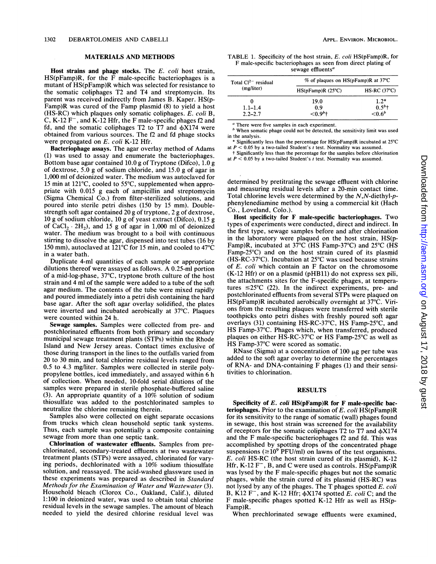#### MATERIALS AND METHODS

Host strains and phage stocks. The E. coli host strain,  $HS(pFamp)R$ , for the  $\overline{F}$  male-specific bacteriophages is a mutant of HS(pFamp)R which was selected for resistance to the somatic coliphages T2 and T4 and streptomycin. Its parent was received indirectly from James B. Kaper. HS(p-Famp)R was cured of the Famp plasmid (8) to yield a host (HS-RC) which plaques only somatic coliphages. E. coli B, C, K-12  $F^-$ , and K-12 Hfr, the F male-specific phages f2 and fd, and the somatic coliphages  $T2$  to  $T7$  and  $\phi X174$  were obtained from various sources. The f2 and fd phage stocks were propagated on E. coli K-12 Hfr.

Bacteriophage assays. The agar overlay method of Adams (1) was used to assay and enumerate the bacteriophages. Bottom base agar contained 10.0 g of Tryptone (Difco), 1.0 g of dextrose, 5.0 g of sodium chloride, and 15.0 g of agar in 1,000 ml of deionized water. The medium was autoclaved for <sup>15</sup> min at 121°C, cooled to 55°C, supplemented when appropriate with 0.015 g each of ampicillin and streptomycin (Sigma Chemical Co.) from filter-sterilized solutions, and poured into sterile petri dishes (150 by 15 mm). Doublestrength soft agar contained 20 g of tryptone, 2 g of dextrose, 10 g of sodium chloride, 10 g of yeast extract (Difco), 0.15 g of  $CaCl<sub>2</sub> \cdot 2H<sub>2</sub>$ ), and 15 g of agar in 1,000 ml of deionized water. The medium was brought to a boil with continuous stirring to dissolve the agar, dispensed into test tubes (16 by 150 mm), autoclaved at 121°C for 15 min, and cooled to 47°C in a water bath.

Duplicate 4-ml quantities of each sample or appropriate dilutions thereof were assayed as follows. A 0.25-ml portion of a mid-log-phase, 37°C, tryptone broth culture of the host strain and 4 ml of the sample were added to a tube of the soft agar medium. The contents of the tube were mixed rapidly and poured immediately into a petri dish containing the hard base agar. After the soft agar overlay solidified, the plates were inverted and incubated aerobically at 37°C. Plaques were counted within 24 h.

Sewage samples. Samples were collected from pre- and postchlorinated effluents from both primary and secondary municipal sewage treatment plants (STPs) within the Rhode Island and New Jersey areas. Contact times exclusive of those during transport in the lines to the outfalls varied from 20 to 30 min, and total chlorine residual levels ranged from 0.5 to 4.3 mg/liter. Samples were collected in sterile polypropylene bottles, iced immediately, and assayed within 6 h of collection. When needed, 10-fold serial dilutions of the samples were prepared in sterile phosphate-buffered saline (3). An appropriate quantity of <sup>a</sup> 10% solution of sodium thiosulfate was added to the postchlorinated samples to neutralize the chlorine remaining therein.

Samples also were collected on eight separate occasions from trucks which clean household septic tank systems. Thus, each sample was potentially a composite containing sewage from more than one septic tank.

Chlorination of wastewater effluents. Samples from prechlorinated, secondary-treated effluents at two wastewater treatment plants (STPs) were assayed, chlorinated for varying periods, dechlorinated with a 10% sodium thiosulfate solution, and reassayed. The acid-washed glassware used in these experiments was prepared as described in Standard Methods for the Examination of Water and Wastewater (3). Household bleach (Clorox Co., Oakland, Calif.), diluted 1:100 in deionized water, was used to obtain total chlorine residual levels in the sewage samples. The amount of bleach needed to yield the desired chlorine residual level was

TABLE 1. Specificity of the host strain, E. coli HS(pFamp)R, for F male-specific bacteriophages as seen from direct plating of

sewage effluents<sup>a</sup>

| Total $Cl^{2-}$ residual<br>(mg/liter) | $%$ of plaques on HS(pFamp)R at 37°C |               |  |
|----------------------------------------|--------------------------------------|---------------|--|
|                                        | $HS(pFamp)R(25^{\circ}C)$            | $HS-RC(37°C)$ |  |
| 0                                      | 19.0                                 | $1.2*$        |  |
| $1.1 - 1.4$                            | 0.9                                  | $0.5^{b}$ †   |  |
| $2.2 - 2.7$                            | $< 0.9b$ +                           | $< 0.6^b$     |  |

<sup>a</sup> There were five samples in each experiment.

 $<sup>b</sup>$  When somatic phage could not be detected, the sensitivity limit was used</sup> in the analysis.

Significantly less than the percentage for HS(pFamp)R incubated at 25°C at  $P < 0.05$  by a two-tailed Student's t test. Normality was assumed.

t Significantly less than the percentage for the samples before chlorination at  $P < 0.05$  by a two-tailed Student's t test. Normality was assumed.

determined by pretitrating the sewage effluent with chlorine and measuring residual levels after a 20-min contact time. Total chlorine levels were determined by the  $N$ , $N$ -diethyl- $p$ phenylenediamine method by using a commercial kit (Hach Co., Loveland, Colo.).

Host specificity for F male-specific bacteriophages. Two types of experiments were conducted, direct and indirect. In the first type, sewage samples before and after chlorination in the laboratory were plaqued on the host strain, HS(p-Famp)R, incubated at 37°C (HS Famp-37°C) and 25°C (HS Famp-25°C) and on the host strain cured of its plasmid (HS-RC-37°C). Incubation at 25°C was used because strains of E. coli which contain an F factor on the chromosome (K-12 Hfr) or on a plasmid (pHB11) do not express sex pili, the attachments sites for the F-specific phages, at temperatures  $\leq 25^{\circ}$ C (22). In the indirect experiments, pre- and postchlorinated effluents from several STPs were plaqued on HS(pFamp)R incubated aerobically overnight at 37°C. Virions from the resulting plaques were transferred with sterile toothpicks onto petri dishes with freshly poured soft agar overlays (31) containing HS-RC-37°C, HS Famp-25°C, and HS Famp-37°C. Phages which, when transferred, produced plaques on either HS-RC-37°C or HS Famp-25°C as well as HS Famp-37°C were scored as somatic.

RNase (Sigma) at a concentration of  $100 \mu$ g per tube was added to the soft agar overlay to determine the percentages of RNA- and DNA-containing F phages (1) and their sensitivities to chlorination.

#### RESULTS

Specificity of  $E.$  coli HS(pFamp)R for  $F$  male-specific bacteriophages. Prior to the examination of E. coli  $\overline{HS}(pFamp)R$ for its sensitivity to the range of somatic (wall) phages found in sewage, this host strain was screened for the availability of receptors for the somatic coliphages T2 to T7 and  $\phi$ X174 and the F male-specific bacteriophages f2 and fd. This was accomplished by spotting drops of the concentrated phage suspensions ( $\geq 10^9$  PFU/ml) on lawns of the test organisms. E. coli HS-RC (the host strain cured of its plasmid), K-12 Hfr, K-12  $F^-$ , B, and C were used as controls. HS( $pFamp)R$ was lysed by the F male-specific phages but not the somatic phages, while the strain cured of its plasmid (HS-RC) was not lysed by any of the phages. The T phages spotted E. coli B, K12 F<sup>-</sup>, and K-12 Hfr;  $\phi$ X174 spotted *E. coli* C; and the F male-specific phages spotted K-12 Hfr as well as HS(p-Famp)R.

When prechlorinated sewage effluents were examined,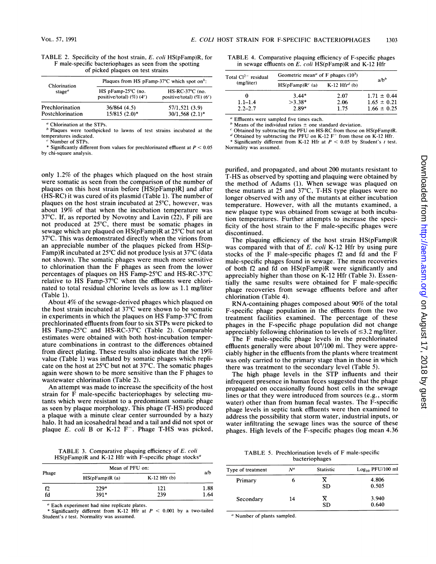| TABLE 2. Specificity of the host strain, E. coli HS(pFamp)R, for |
|------------------------------------------------------------------|
| F male-specific bacteriophages as seen from the spotting         |
| of picked plaques on test strains                                |

| Chlorination     | Plaques from HS pFamp-37 $^{\circ}$ C which spot on <sup>b</sup> : |                                                                      |  |
|------------------|--------------------------------------------------------------------|----------------------------------------------------------------------|--|
| stage $\alpha$   | $HS$ pFamp-25 $°C$ (no.<br>positive/total) $(\%)(4^c)$             | $HS-RC-37^{\circ}C$ (no.<br>positive/total) $(\%)$ (6 <sup>c</sup> ) |  |
| Prechlorination  | 36/864(4.5)                                                        | 57/1.521 (3.9)                                                       |  |
| Postchlorination | $15/815$ $(2.0)*$                                                  | $30/1,568$ $(2.1)$ *                                                 |  |

Chlorination at the STPs.

<sup>b</sup> Plaques were toothpicked to lawns of test strains incubated at the temperatures indicated. Number of STPs.

Significantly different from values for prechlorinated effluent at  $P < 0.05$ by chi-square analysis.

only 1.2% of the phages which plaqued on the host strain were somatic as seen from the comparison of the number of plaques on this host strain before [HS(pFamp)R] and after (HS-RC) it was cured of its plasmid (Table 1). The number of plaques on the host strain incubated at 25°C, however, was about 19% of that when the incubation temperature was  $37^{\circ}$ C. If, as reported by Novotny and Lavin (22), F pili are not produced at 25°C, there must be somatic phages in sewage which are plaqued on HS(pFamp)R at 25°C but not at 37°C. This was demonstrated directly when the virions from an appreciable number of the plaques picked from HS(p-Famp)R incubated at 25°C did not produce lysis at 37°C (data not shown). The somatic phages were much more sensitive to chlorination than the F phages as seen from the lower percentages of plaques on HS Famp-25°C and HS-RC-37°C relative to HS Famp-37°C when the effluents were chlorinated to total residual chlorine levels as low as 1.1 mg/liter (Table 1).

About 4% of the sewage-derived phages which plaqued on the host strain incubated at 37°C were shown to be somatic in experiments in which the plaques on HS Famp-37°C from prechlorinated effluents from four to six STPs were picked to HS Famp-25°C and HS-RC-37°C (Table 2). Comparable estimates were obtained with both host-incubation temperature combinations in contrast to the differences obtained from direct plating. These results also indicate that the 19% value (Table 1) was inflated by somatic phages which replicate on the host at 25°C but not at 37°C. The somatic phages again were shown to be more sensitive than the F phages to wastewater chlorination (Table 2).

An attempt was made to increase the specificity of the host strain for F male-specific bacteriophages by selecting mutants which were resistant to a predominant somatic phage as seen by plaque morphology. This phage (T-HS) produced a plaque with a minute clear center surrounded by a hazy halo. It had an icosahedral head and a tail and did not spot or plaque  $E$ . coli B or K-12  $F^-$ . Phage T-HS was picked,

TABLE 3. Comparative plaquing efficiency of E. coli  $HS(pFamp)R$  and K-12 Hfr with F-specific phage stocks<sup>a</sup>

|       | Mean of PFU on: |                  |      |
|-------|-----------------|------------------|------|
| Phage | HS(pFamp)R(a)   | $K-12$ Hfr $(b)$ | a/b  |
| f2    | $229*$          | 121              | 1.88 |
| fd    | $391*$          | 239              | 1.64 |

<sup>a</sup> Each experiment had nine replicate plates.

Significantly different from K-12 Hfr at  $P < 0.001$  by a two-tailed Student's <sup>t</sup> test. Normality was assumed.

TABLE 4. Comparative plaquing efficiency of F-specific phages in sewage effluents on  $E$ . coli HS(pFamp)R and K-12 Hfr

| Total $Cl2-$ residual | Geometric mean <sup><i>a</i></sup> of F phages $(103)$ |      | $a/b^b$         |
|-----------------------|--------------------------------------------------------|------|-----------------|
| (mg/liter)            | $HS(pFamp)Rc$ (a) $K-12$ Hfr <sup>d</sup> (b)          |      |                 |
| 0                     | $3.44*$                                                | 2.07 | $1.71 \pm 0.44$ |
| $1.1 - 1.4$           | $>3.38*$                                               | 2.06 | $1.65 \pm 0.21$ |
| $2.2 - 2.7$           | $2.89*$                                                | 1.75 | $1.66 \pm 0.25$ |

"Effluents were sampled five times each.

Means of the individual ratios  $\pm$  one standard deviation.

<sup>c</sup> Obtained by subtracting the PFU on HS-RC from those on HS(pFamp)R.

Obtained by subtracting the PFU on K-12  $F^-$  from those on K-12 Hfr.

Significantly different from K-12 Hfr at  $P < 0.05$  by Student's t test. Normality was assumed.

purified, and propagated, and about 200 mutants resistant to T-HS as observed by spotting and plaquing were obtained by the method of Adams (1). When sewage was plaqued on these mutants at <sup>25</sup> and 37°C, T-HS type plaques were no longer observed with any of the mutants at either incubation temperature. However, with all the mutants examined, a new plaque type was obtained from sewage at both incubation temperatures. Further attempts to increase the specificity of the host strain to the F male-specific phages were discontinued.

The plaquing efficiency of the host strain HS(pFamp)R was compared with that of E. coli K-12 Hfr by using pure stocks of the F male-specific phages f2 and fd and the F male-specific phages found in sewage. The mean recoveries of both f2 and fd on HS(pFamp)R were significantly and appreciably higher than those on K-12 Hfr (Table 3). Essentially the same results were obtained for F male-specific phage recoveries from sewage effluents before and after chlorination (Table 4).

RNA-containing phages composed about 90% of the total F-specific phage population in the effluents from the two treatment facilities examined. The percentage of these phages in the F-specific phage population did not change appreciably following chlorination to levels of  $\leq$ 3.2 mg/liter.

The F male-specific phage levels in the prechlorinated effluents generally were about  $10<sup>4</sup>/100$  ml. They were appreciably higher in the effluents from the plants where treatment was only carried to the primary stage than in those in which there was treatment to the secondary level (Table 5).

The high phage levels in the STP influents and their infrequent presence in human feces suggested that the phage propagated on occasionally found host cells in the sewage lines or that they were introduced from sources (e.g., storm water) other than from human fecal wastes. The F-specific phage levels in septic tank effluents were then examined to address the possibility that storm water, industrial inputs, or water infiltrating the sewage lines was the source of these phages. High levels of the F-specific phages (log mean 4.36

TABLE 5. Prechlorination levels of F male-specific bacteriophages

| Type of treatment | $N^a$ | <b>Statistic</b> | $Log10$ PFU/100 ml |
|-------------------|-------|------------------|--------------------|
| Primary           | n     | x<br><b>SD</b>   | 4.806<br>0.505     |
| Secondary         | 14    | x<br><b>SD</b>   | 3.940<br>0.640     |

<sup>a</sup> Number of plants sampled.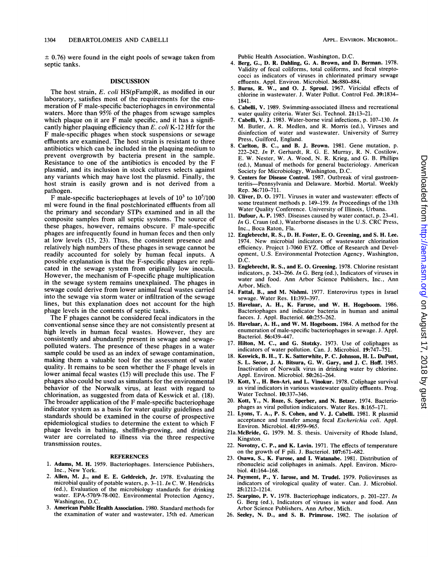$\pm$  0.76) were found in the eight pools of sewage taken from septic tanks.

#### DISCUSSION

The host strain, E. coli HS(pFamp)R, as modified in our laboratory, satisfies most of the requirements for the enumeration of F male-specific bacteriophages in environmental waters. More than 95% of the phages from sewage samples which plaque on it are F male specific, and it has a significantly higher plaquing efficiency than E. coli K-12 Hfr for the F male-specific phages when stock suspensions or sewage effluents are examined. The host strain is resistant to three antibiotics which can be included in the plaquing medium to prevent overgrowth by bacteria present in the sample. Resistance to one of the antibiotics is encoded by the F plasmid, and its inclusion in stock cultures selects against any variants which may have lost the plasmid. Finally, the host strain is easily grown and is not derived from a pathogen.

F male-specific bacteriophages at levels of  $10^3$  to  $10^5/100$ ml were found in the final postchlorinated effluents from all the primary and secondary STPs examined and in all the composite samples from all septic systems. The source of these phages, however, remains obscure. F male-specific phages are infrequently found in human feces and then only at low levels (15, 23). Thus, the consistent presence and relatively high numbers of these phages in sewage cannot be readily accounted for solely by human fecal inputs. A possible explanation is that the F-specific phages are replicated in the sewage system from originally low inocula. However, the mechanism of F-specific phage multiplication in the sewage system remains unexplained. The phages in sewage could derive from lower animal fecal wastes carried into the sewage via storm water or infiltration of the sewage lines, but this explanation does not account for the high phage levels in the contents of septic tanks.

The F phages cannot be considered fecal indicators in the conventional sense since they are not consistently present at high levels in human fecal wastes. However, they are consistently and abundantly present in sewage and sewagepolluted waters. The presence of these phages in a water sample could be used as an index of sewage contamination, making them a valuable tool for the assessment of water quality. It remains to be seen whether the F phage levels in lower animal fecal wastes (15) will preclude this use. The F phages also could be used as simulants for the environmental behavior of the Norwalk virus, at least with regard to chlorination, as suggested from data of Keswick et al. (18). The broader application of the F male-specific bacteriophage indicator system as a basis for water quality guidelines and standards should be examined in the course of prospective epidemiological studies to determine the extent to which F phage levels in bathing, shellfish-growing, and drinking water are correlated to illness via the three respective transmission routes.

#### REFERENCES

- 1. Adams, M. H. 1959. Bacteriophages. Interscience Publishers, Inc., New York.
- 2. Allen, M. J., and E. E. Geldreich, Jr. 1978. Evaluating the microbial quality of potable waters, p. 3-11. In C. W. Hendricks (ed.), Evaluation of the microbiology standards for drinking water. EPA-570/9-78-002. Environmental Protection Agency, Washington, D.C.
- American Public Health Association. 1980. Standard methods for the examination of water and wastewater, 15th ed. American

Public Health Association, Washington, D.C.

- 4. Berg, G., D. R. Dahling, G. A. Brown, and D. Berman. 1978. Validity of fecal coliforms, total coliforms, and fecal streptococci as indicators of viruses in chlorinated primary sewage effluents. Appi. Environ. Microbiol. 36:880-884.
- 5. Burns, R. W., and 0. J. Sproul. 1967. Viricidal effects of chlorine in wastewater. J. Water Pollut. Control Fed. 39:1834- 1841.
- 6. Cabelli, V. 1989. Swimming-associated illness and recreational water quality criteria. Water Sci. Technol. 21:13-21.
- 7. Cabelli, V. J. 1983. Water-borne viral infections, p. 107-130. In M. Butler, A. R. Medlen, and R. Morris (ed.), Viruses and disinfection of water and wastewater. University of Surrey Press, Guilford, England.
- 8. Carlton, B. C., and B. J. Brown. 1981. Gene mutation, p. 222-242. In P. Gerhardt, R. G. E. Murray, R. N. Costilow, E. W. Nester, W. A. Wood, N. R. Krieg, and G. B. Phillips (ed.), Manual of methods for general bacteriology. American Society for Microbiology, Washington, D.C.
- 9. Centers for Disease Control. 1987. Outbreak of viral gastroenteritis-Pennsylvania and Delaware. Morbid. Mortal. Weekly Rep. 36:710-711.
- 10. Cliver, D. 0. 1971. Viruses in water and wastewater: effects of some treatment methods p. 149-159. In Proceedings of the 13th Water Quality Conference. University of Illinois, Urbana.
- 11. Dufour, A. P. 1985. Diseases caused by water contact, p. 23-41. In G. Craun (ed.), Waterborne diseases in the U.S. CRC Press, Inc., Boca Raton, Fla.
- 12. Englebrecht, R. S., D. H. Foster, E. 0. Greening, and S. H. Lee. 1974. New microbial indicators of wastewater chlorination efficiency. Project 1-7060 EYZ. Office of Research and Development, U.S. Environmental Protection Agency, Washington, D.C.
- 13. Englebrecht, R. S., and E. 0. Greening. 1978. Chlorine resistant indicators, p. 243-266. In G. Berg (ed.), Indicators of viruses in water and food. Ann Arbor Science Publishers, Inc., Ann Arbor, Mich.
- 14. Fattal, B., and M. Nishmi. 1977. Enterovirus types in Israel sewage. Water Res. 11:393-397.
- Havelaar, A. H., K. Faruse, and W. H. Hogeboom. 1986. Bacteriophages and indicator bacteria in human and animal faeces. J. Appl. Bacteriol. 60:255-262.
- 16. Havelaar, A. H., and W. M. Hogeboom. 1984. A method for the enumeration of male-specific bacteriophages in sewage. J. Appl. Bacteriol. 56:439-447.
- 17. Hilton, M. C., and G. Stotzky. 1973. Use of coliphages as indicators of water pollution. Can. J. Microbiol. 19:747-751.
- 18. Keswick, B. H., T. K. Satterwhite, P. C. Johnson, H. L. DuPont, S. L. Secor, J. A. Bitsura, G. W. Gary, and J. C. Hoff. 1985. Inactivation of Norwalk virus in drinking water by chlorine. Appl. Environ. Microbiol. 50:261-264.
- 19. Kott, Y., H. Ben-Ari, and L. Vinokur. 1978. Coliphage survival as viral indicators in various wastewater quality effluents. Prog. Water Technol. 10:337-346.
- 20. Kott, Y., N. Roze, S. Sperber, and N. Betzer. 1974. Bacteriophages as viral pollution indicators. Water Res. 8:165-171.
- 21. Lyons, T. A., P. S. Cohen, and V. J. Cabelli. 1981. R plasmid acceptance and transfer among fecal Escherichia coli. Appl. Environ. Microbiol. 41:959-965.
- 21a.McBride, G. 1979. M. S. thesis. University of Rhode Island, Kingston.
- 22. Novotny, C. P., and K. Lavin. 1971. The effects of temperature on the growth of F pili. J. Bacteriol. 107:671-682.
- 23. Osawa, S., K. Furose, and I. Watanabe. 1981. Distribution of ribonucleic acid coliphages in animals. Appl. Environ. Microbiol. 41:164-168.
- 24. Payment, P., Y. Iarose, and M. Trudel. 1979. Polioviruses as indicators of virological quality of water. Can. J. Microbiol. 25:1212-1214.
- 25. Scarpino, P. V. 1978. Bacteriophage indicators, p. 201-227. In G. Berg (ed.), Indicators of viruses in water and food. Ann Arbor Science Publishers, Ann Arbor, Mich.
- 26. Seeley, N. D., and S. B. Primrose. 1982. The isolation of